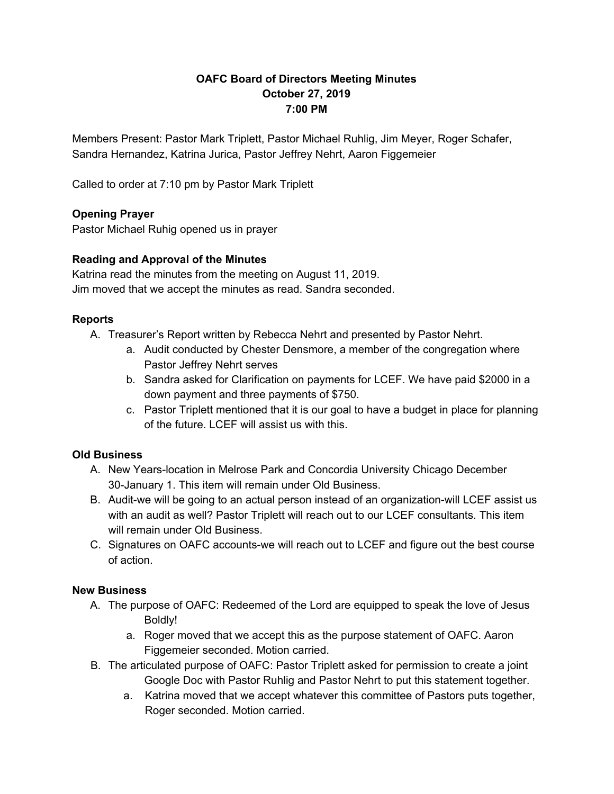# **OAFC Board of Directors Meeting Minutes October 27, 2019 7:00 PM**

Members Present: Pastor Mark Triplett, Pastor Michael Ruhlig, Jim Meyer, Roger Schafer, Sandra Hernandez, Katrina Jurica, Pastor Jeffrey Nehrt, Aaron Figgemeier

Called to order at 7:10 pm by Pastor Mark Triplett

# **Opening Prayer**

Pastor Michael Ruhig opened us in prayer

# **Reading and Approval of the Minutes**

Katrina read the minutes from the meeting on August 11, 2019. Jim moved that we accept the minutes as read. Sandra seconded.

### **Reports**

- A. Treasurer's Report written by Rebecca Nehrt and presented by Pastor Nehrt.
	- a. Audit conducted by Chester Densmore, a member of the congregation where Pastor Jeffrey Nehrt serves
	- b. Sandra asked for Clarification on payments for LCEF. We have paid \$2000 in a down payment and three payments of \$750.
	- c. Pastor Triplett mentioned that it is our goal to have a budget in place for planning of the future. LCEF will assist us with this.

# **Old Business**

- A. New Years-location in Melrose Park and Concordia University Chicago December 30-January 1. This item will remain under Old Business.
- B. Audit-we will be going to an actual person instead of an organization-will LCEF assist us with an audit as well? Pastor Triplett will reach out to our LCEF consultants. This item will remain under Old Business.
- C. Signatures on OAFC accounts-we will reach out to LCEF and figure out the best course of action.

# **New Business**

- A. The purpose of OAFC: Redeemed of the Lord are equipped to speak the love of Jesus Boldly!
	- a. Roger moved that we accept this as the purpose statement of OAFC. Aaron Figgemeier seconded. Motion carried.
- B. The articulated purpose of OAFC: Pastor Triplett asked for permission to create a joint Google Doc with Pastor Ruhlig and Pastor Nehrt to put this statement together.
	- a. Katrina moved that we accept whatever this committee of Pastors puts together, Roger seconded. Motion carried.